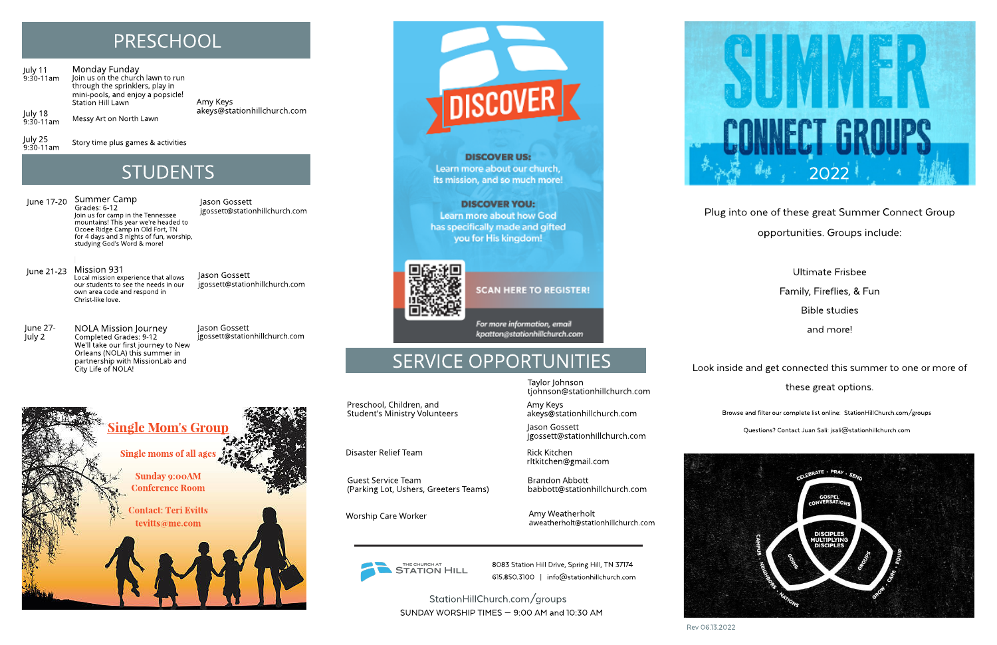Rev06.13.2022

Plug into one of these great Summer Connect Group opportunities.Groups include:

> Ultimate Frisbee Family, Fireflies, & Fun **Bible studies** and more!

Look inside and get connected this summer to one or more of these great options.

Questions? Contact Juan Sali: jsali@stationhillchurch.com





Browse and filter our complete list online: StationHillChurch.com/groups



## PRESCHOOL

Disaster Relief Team Rick Kitchen rltkitchen@gmail.com

Worship Care Worker **Amy Weatherholt** aweatherholt@stationhillchurch.com

THE CHURCH AT **STATION HILL** 

Monday Funday Join us on the church lawn to run through the sprinklers, play in mini-pools, and enjoy a popsicle! Station Hill Lawn Messy Art on North Lawn July 11 9:30-11am July 18

Story time plus games & activities

**STUDENTS** 

9:30-11am

July 25 9:30-11am Amy Keys akeys@stationhillchurch.com

> Preschool, Children, and Student's Ministry Volunteers

> > Jason Gossett jgossett@stationhillchurch.com

Taylor Johnson tjohnson@stationhillchurch.com

June 21-23 Mission 931 Local mission experience that allows our students to see the needs in our own area code and respond in Christ-like love.

> Amy Keys akeys@stationhillchurch.com

8083 Station Hill Drive, Spring Hill, TN 37174 615.850.3100 | info@stationhillchurch.com

StationHillChurch.com/ groups SUNDAY WORSHIP TIMES  $-$  9:00 AM and 10:30 AM

Guest Service Team

(Parking Lot, Ushers, Greeters Teams)

Brandon Abbott babbott@stationhillchurch.com

Summer Camp Grades: 6-12 Join us for camp in the Tennessee mountains! This year we're headed to Ocoee Ridge Camp in Old Fort, TN for 4 days and 3 nights of fun, worship, studying God's Word & more! June 17-20 Summer Camp Figure 18. The Summer Camp jgossett@stationhillchurch.com

NOLA Mission Journey Completed Grades: 9-12 We'll take our first journey to New Orleans (NOLA) this summer in partnership with MissionLab and City Life of NOLA! June 27- July 2

Jason Gossett jgossett@stationhillchurch.com

Jason Gossett



**DISCOVER US:** Learn more about our church, its mission, and so much more!

**DISCOVER YOU:** Learn more about how God has specifically made and gifted you for His kingdom!



**SCAN HERE TO REGISTER!** 

For more information, email kpatton@stationhillchurch.com

# SERVICE OPPORTUNITIES

jgossett@stationhillchurch.com